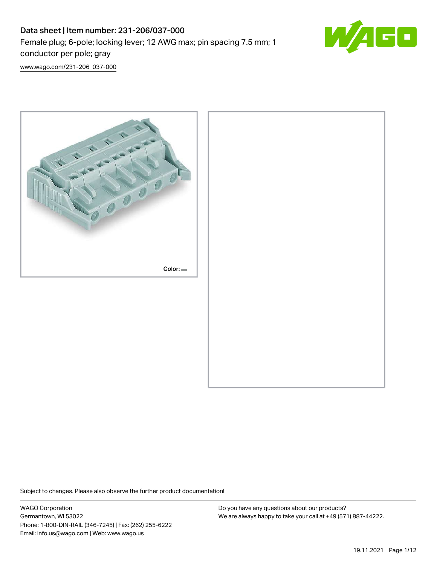# Data sheet | Item number: 231-206/037-000 Female plug; 6-pole; locking lever; 12 AWG max; pin spacing 7.5 mm; 1 conductor per pole; gray



[www.wago.com/231-206\\_037-000](http://www.wago.com/231-206_037-000)



Subject to changes. Please also observe the further product documentation!

WAGO Corporation Germantown, WI 53022 Phone: 1-800-DIN-RAIL (346-7245) | Fax: (262) 255-6222 Email: info.us@wago.com | Web: www.wago.us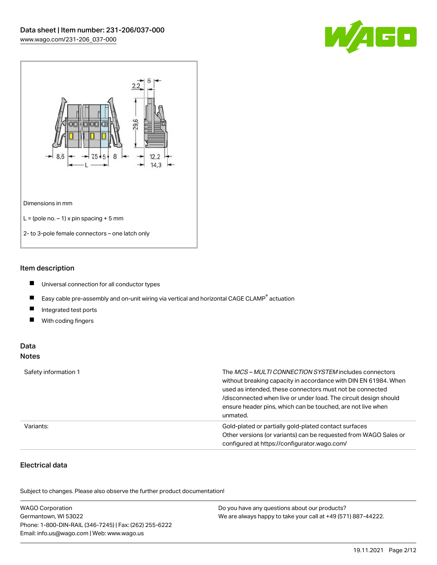



### Item description

- $\blacksquare$ Universal connection for all conductor types
- $\blacksquare$ Easy cable pre-assembly and on-unit wiring via vertical and horizontal CAGE CLAMP<sup>®</sup> actuation
- $\blacksquare$ Integrated test ports
- $\blacksquare$ With coding fingers

### Data Notes

| Safety information 1 | The <i>MCS – MULTI CONNECTION SYSTEM</i> includes connectors<br>without breaking capacity in accordance with DIN EN 61984. When<br>used as intended, these connectors must not be connected<br>/disconnected when live or under load. The circuit design should<br>ensure header pins, which can be touched, are not live when<br>unmated. |
|----------------------|--------------------------------------------------------------------------------------------------------------------------------------------------------------------------------------------------------------------------------------------------------------------------------------------------------------------------------------------|
| Variants:            | Gold-plated or partially gold-plated contact surfaces<br>Other versions (or variants) can be requested from WAGO Sales or<br>configured at https://configurator.wago.com/                                                                                                                                                                  |

# Electrical data

.<br>Subject to changes. Please also observe the further product documentation!

| <b>WAGO Corporation</b>                                | Do you have any questions about our products?                 |
|--------------------------------------------------------|---------------------------------------------------------------|
| Germantown, WI 53022                                   | We are always happy to take your call at +49 (571) 887-44222. |
| Phone: 1-800-DIN-RAIL (346-7245)   Fax: (262) 255-6222 |                                                               |
| Email: info.us@wago.com   Web: www.wago.us             |                                                               |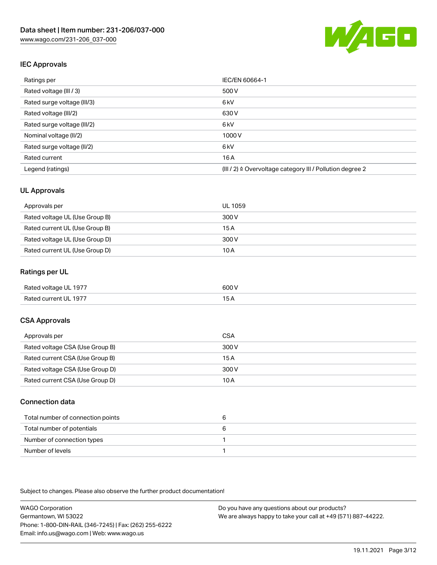

# IEC Approvals

| Ratings per                 | IEC/EN 60664-1                                            |
|-----------------------------|-----------------------------------------------------------|
| Rated voltage (III / 3)     | 500 V                                                     |
| Rated surge voltage (III/3) | 6 <sub>kV</sub>                                           |
| Rated voltage (III/2)       | 630 V                                                     |
| Rated surge voltage (III/2) | 6 <sub>kV</sub>                                           |
| Nominal voltage (II/2)      | 1000 V                                                    |
| Rated surge voltage (II/2)  | 6 <sub>kV</sub>                                           |
| Rated current               | 16A                                                       |
| Legend (ratings)            | (III / 2) ≙ Overvoltage category III / Pollution degree 2 |

### UL Approvals

| Approvals per                  | UL 1059 |
|--------------------------------|---------|
| Rated voltage UL (Use Group B) | 300 V   |
| Rated current UL (Use Group B) | 15 A    |
| Rated voltage UL (Use Group D) | 300 V   |
| Rated current UL (Use Group D) | 10 A    |

### Ratings per UL

| Rated voltage UL 1977 | 600 V |
|-----------------------|-------|
| Rated current UL 1977 |       |

## CSA Approvals

| Approvals per                   | CSA   |
|---------------------------------|-------|
| Rated voltage CSA (Use Group B) | 300 V |
| Rated current CSA (Use Group B) | 15 A  |
| Rated voltage CSA (Use Group D) | 300 V |
| Rated current CSA (Use Group D) | 10 A  |

#### Connection data

| Total number of connection points |  |
|-----------------------------------|--|
| Total number of potentials        |  |
| Number of connection types        |  |
| Number of levels                  |  |

Subject to changes. Please also observe the further product documentation!

WAGO Corporation Germantown, WI 53022 Phone: 1-800-DIN-RAIL (346-7245) | Fax: (262) 255-6222 Email: info.us@wago.com | Web: www.wago.us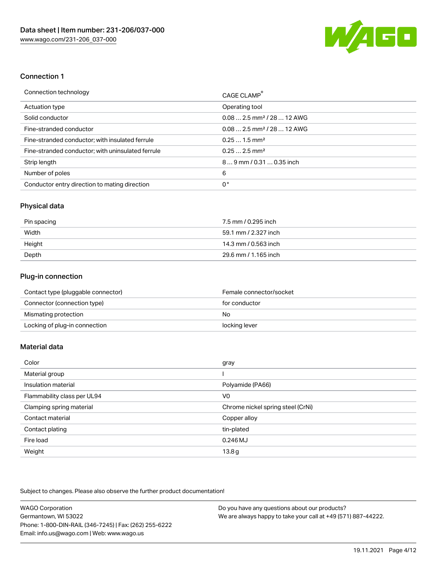

### Connection 1

| Connection technology                             | CAGE CLAMP®                            |
|---------------------------------------------------|----------------------------------------|
| Actuation type                                    | Operating tool                         |
| Solid conductor                                   | $0.082.5$ mm <sup>2</sup> / 28  12 AWG |
| Fine-stranded conductor                           | $0.082.5$ mm <sup>2</sup> / 28  12 AWG |
| Fine-stranded conductor; with insulated ferrule   | $0.251.5$ mm <sup>2</sup>              |
| Fine-stranded conductor; with uninsulated ferrule | $0.252.5$ mm <sup>2</sup>              |
| Strip length                                      | 89 mm / 0.31  0.35 inch                |
| Number of poles                                   | 6                                      |
| Conductor entry direction to mating direction     | 0°                                     |

### Physical data

| Pin spacing | 7.5 mm / 0.295 inch  |
|-------------|----------------------|
| Width       | 59.1 mm / 2.327 inch |
| Height      | 14.3 mm / 0.563 inch |
| Depth       | 29.6 mm / 1.165 inch |

# Plug-in connection

| Contact type (pluggable connector) | Female connector/socket |
|------------------------------------|-------------------------|
| Connector (connection type)        | for conductor           |
| Mismating protection               | No                      |
| Locking of plug-in connection      | locking lever           |

# Material data

| Color                       | gray                              |
|-----------------------------|-----------------------------------|
| Material group              |                                   |
| Insulation material         | Polyamide (PA66)                  |
| Flammability class per UL94 | V0                                |
| Clamping spring material    | Chrome nickel spring steel (CrNi) |
| Contact material            | Copper alloy                      |
| Contact plating             | tin-plated                        |
| Fire load                   | $0.246$ MJ                        |
| Weight                      | 13.8g                             |

Subject to changes. Please also observe the further product documentation!

| <b>WAGO Corporation</b>                                | Do you have any questions about our products?                 |
|--------------------------------------------------------|---------------------------------------------------------------|
| Germantown, WI 53022                                   | We are always happy to take your call at +49 (571) 887-44222. |
| Phone: 1-800-DIN-RAIL (346-7245)   Fax: (262) 255-6222 |                                                               |
| Email: info.us@wago.com   Web: www.wago.us             |                                                               |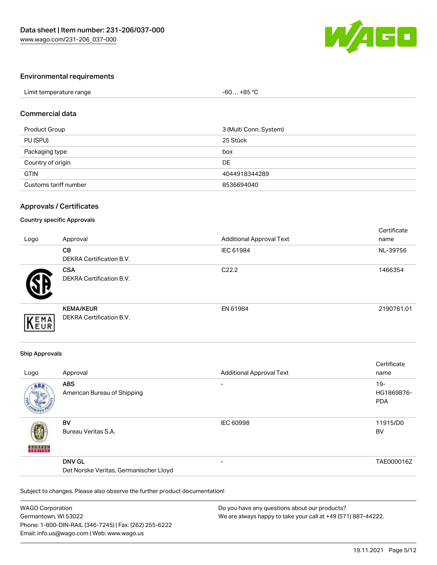

### Environmental requirements

| Limit temperature range | +85 °C<br>-60 |  |
|-------------------------|---------------|--|

#### Commercial data

| Product Group         | 3 (Multi Conn. System) |
|-----------------------|------------------------|
| PU (SPU)              | 25 Stück               |
| Packaging type        | box                    |
| Country of origin     | DE                     |
| <b>GTIN</b>           | 4044918344289          |
| Customs tariff number | 8536694040             |

#### Approvals / Certificates

#### Country specific Approvals

| Logo | Approval                                            | <b>Additional Approval Text</b> | Certificate<br>name |
|------|-----------------------------------------------------|---------------------------------|---------------------|
|      | <b>CB</b><br>DEKRA Certification B.V.               | IEC 61984                       | NL-39756            |
|      | <b>CSA</b><br><b>DEKRA Certification B.V.</b>       | C <sub>22.2</sub>               | 1466354             |
| EMA  | <b>KEMA/KEUR</b><br><b>DEKRA Certification B.V.</b> | EN 61984                        | 2190761.01          |

#### Ship Approvals

| Logo          | Approval                                                | <b>Additional Approval Text</b> | Certificate<br>name                |
|---------------|---------------------------------------------------------|---------------------------------|------------------------------------|
| ABS           | <b>ABS</b><br>American Bureau of Shipping               | $\overline{\phantom{a}}$        | $19 -$<br>HG1869876-<br><b>PDA</b> |
| <b>BUNEAU</b> | <b>BV</b><br>Bureau Veritas S.A.                        | <b>IEC 60998</b>                | 11915/D0<br><b>BV</b>              |
|               | <b>DNV GL</b><br>Det Norske Veritas, Germanischer Lloyd | $\overline{\phantom{0}}$        | TAE000016Z                         |

Subject to changes. Please also observe the further product documentation!

| <b>WAGO Corporation</b>                                | Do you have any questions about our products?                 |
|--------------------------------------------------------|---------------------------------------------------------------|
| Germantown, WI 53022                                   | We are always happy to take your call at +49 (571) 887-44222. |
| Phone: 1-800-DIN-RAIL (346-7245)   Fax: (262) 255-6222 |                                                               |
| Email: info.us@wago.com   Web: www.wago.us             |                                                               |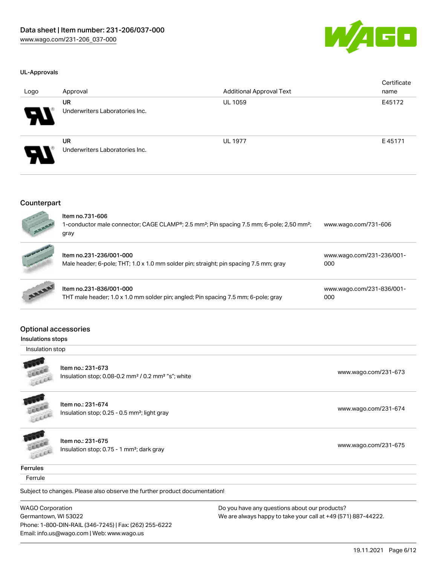

#### UL-Approvals

| Logo                       | Approval                                    | <b>Additional Approval Text</b> | Certificate<br>name |
|----------------------------|---------------------------------------------|---------------------------------|---------------------|
| $\boldsymbol{\mathcal{P}}$ | <b>UR</b><br>Underwriters Laboratories Inc. | UL 1059                         | E45172              |
| $\boldsymbol{\mathcal{P}}$ | UR<br>Underwriters Laboratories Inc.        | <b>UL 1977</b>                  | E45171              |

#### Counterpart



| 110111110.701-000<br>1-conductor male connector; CAGE CLAMP <sup>®</sup> ; 2.5 mm <sup>2</sup> ; Pin spacing 7.5 mm; 6-pole; 2,50 mm <sup>2</sup> ;<br>gray | www.wago.com/731-606             |
|-------------------------------------------------------------------------------------------------------------------------------------------------------------|----------------------------------|
| Item no.231-236/001-000<br>Male header; 6-pole; THT; 1.0 x 1.0 mm solder pin; straight; pin spacing 7.5 mm; gray                                            | www.wago.com/231-236/001-<br>000 |
| ltem no.231-836/001-000                                                                                                                                     | www.wago.com/231-836/001-        |

| ltem no.231-836/001-000                                                            | WWW.W |
|------------------------------------------------------------------------------------|-------|
| THT male header; 1.0 x 1.0 mm solder pin; angled; Pin spacing 7.5 mm; 6-pole; gray | 000   |

#### Optional accessories

Insulations stops

Insulation stop



Item no.: 231-673 Insulation stop; 0.08-0.2 mm<sup>2</sup> / 0.2 mm<sup>2</sup> "s"; white [www.wago.com/231-673](http://www.wago.com/231-673) www.wago.com/231-673

**COLLEGE** CELER

Item no.: 231-674 Insulation stop; 0.25 - 0.5 mm²; light gray [www.wago.com/231-674](http://www.wago.com/231-674)

GEER LEEEE

Item no.: 231-675 Insulation stop; 0.75 - 1 mm<sup>2</sup>; dark gray [www.wago.com/231-675](http://www.wago.com/231-675) msulation stop; 0.75 - 1 mm<sup>2</sup>; dark gray

**Ferrules** 

**Ferrule** 

Subject to changes. Please also observe the further product documentation!

WAGO Corporation Germantown, WI 53022 Phone: 1-800-DIN-RAIL (346-7245) | Fax: (262) 255-6222 Email: info.us@wago.com | Web: www.wago.us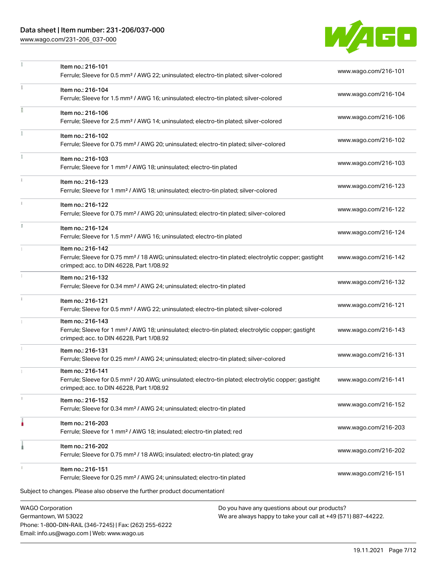# Data sheet | Item number: 231-206/037-000

[www.wago.com/231-206\\_037-000](http://www.wago.com/231-206_037-000)



|    | <b>WAGO Corporation</b><br>Do you have any questions about our products?                                                                                                           |                      |
|----|------------------------------------------------------------------------------------------------------------------------------------------------------------------------------------|----------------------|
|    | Subject to changes. Please also observe the further product documentation!                                                                                                         |                      |
|    | Item no.: 216-151<br>Ferrule; Sleeve for 0.25 mm <sup>2</sup> / AWG 24; uninsulated; electro-tin plated                                                                            | www.wago.com/216-151 |
|    | Item no.: 216-202<br>Ferrule; Sleeve for 0.75 mm <sup>2</sup> / 18 AWG; insulated; electro-tin plated; gray                                                                        | www.wago.com/216-202 |
|    | Item no.: 216-203<br>Ferrule; Sleeve for 1 mm <sup>2</sup> / AWG 18; insulated; electro-tin plated; red                                                                            | www.wago.com/216-203 |
|    | Item no.: 216-152<br>Ferrule; Sleeve for 0.34 mm <sup>2</sup> / AWG 24; uninsulated; electro-tin plated                                                                            | www.wago.com/216-152 |
|    | Item no.: 216-141<br>Ferrule; Sleeve for 0.5 mm <sup>2</sup> / 20 AWG; uninsulated; electro-tin plated; electrolytic copper; gastight<br>crimped; acc. to DIN 46228, Part 1/08.92  | www.wago.com/216-141 |
|    | Item no.: 216-131<br>Ferrule; Sleeve for 0.25 mm <sup>2</sup> / AWG 24; uninsulated; electro-tin plated; silver-colored                                                            | www.wago.com/216-131 |
|    | Item no.: 216-143<br>Ferrule; Sleeve for 1 mm <sup>2</sup> / AWG 18; uninsulated; electro-tin plated; electrolytic copper; gastight<br>crimped; acc. to DIN 46228, Part 1/08.92    | www.wago.com/216-143 |
|    | Item no.: 216-121<br>Ferrule; Sleeve for 0.5 mm <sup>2</sup> / AWG 22; uninsulated; electro-tin plated; silver-colored                                                             | www.wago.com/216-121 |
|    | Item no.: 216-132<br>Ferrule; Sleeve for 0.34 mm <sup>2</sup> / AWG 24; uninsulated; electro-tin plated                                                                            | www.wago.com/216-132 |
|    | Item no.: 216-142<br>Ferrule; Sleeve for 0.75 mm <sup>2</sup> / 18 AWG; uninsulated; electro-tin plated; electrolytic copper; gastight<br>crimped; acc. to DIN 46228, Part 1/08.92 | www.wago.com/216-142 |
|    | Item no.: 216-124<br>Ferrule; Sleeve for 1.5 mm <sup>2</sup> / AWG 16; uninsulated; electro-tin plated                                                                             | www.wago.com/216-124 |
|    | Item no.: 216-122<br>Ferrule; Sleeve for 0.75 mm <sup>2</sup> / AWG 20; uninsulated; electro-tin plated; silver-colored                                                            | www.wago.com/216-122 |
|    | Item no.: 216-123<br>Ferrule; Sleeve for 1 mm <sup>2</sup> / AWG 18; uninsulated; electro-tin plated; silver-colored                                                               | www.wago.com/216-123 |
|    | Item no.: 216-103<br>Ferrule; Sleeve for 1 mm <sup>2</sup> / AWG 18; uninsulated; electro-tin plated                                                                               | www.wago.com/216-103 |
| ĭ. | Item no.: 216-102<br>Ferrule; Sleeve for 0.75 mm <sup>2</sup> / AWG 20; uninsulated; electro-tin plated; silver-colored                                                            | www.wago.com/216-102 |
|    | Item no.: 216-106<br>Ferrule; Sleeve for 2.5 mm <sup>2</sup> / AWG 14; uninsulated; electro-tin plated; silver-colored                                                             | www.wago.com/216-106 |
|    | Item no.: 216-104<br>Ferrule; Sleeve for 1.5 mm <sup>2</sup> / AWG 16; uninsulated; electro-tin plated; silver-colored                                                             | www.wago.com/216-104 |
|    | Item no.: 216-101<br>Ferrule; Sleeve for 0.5 mm <sup>2</sup> / AWG 22; uninsulated; electro-tin plated; silver-colored                                                             | www.wago.com/216-101 |

Germantown, WI 53022 Phone: 1-800-DIN-RAIL (346-7245) | Fax: (262) 255-6222 Email: info.us@wago.com | Web: www.wago.us

We are always happy to take your call at +49 (571) 887-44222.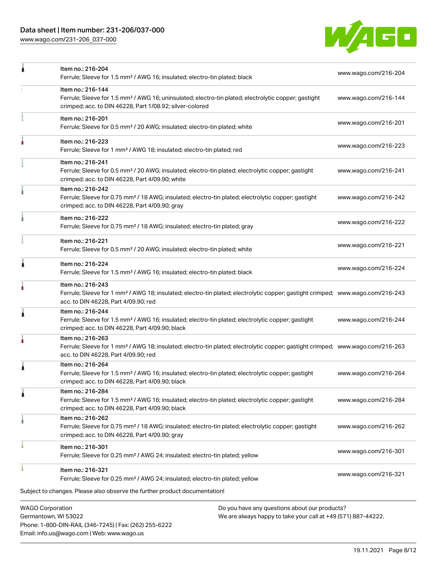Phone: 1-800-DIN-RAIL (346-7245) | Fax: (262) 255-6222

Email: info.us@wago.com | Web: www.wago.us

[www.wago.com/231-206\\_037-000](http://www.wago.com/231-206_037-000)



| 1                       | Item no.: 216-204                                                                                                                                                                                       |                                                                                                                | www.wago.com/216-204 |
|-------------------------|---------------------------------------------------------------------------------------------------------------------------------------------------------------------------------------------------------|----------------------------------------------------------------------------------------------------------------|----------------------|
|                         | Ferrule; Sleeve for 1.5 mm <sup>2</sup> / AWG 16; insulated; electro-tin plated; black                                                                                                                  |                                                                                                                |                      |
|                         | Item no.: 216-144<br>Ferrule; Sleeve for 1.5 mm <sup>2</sup> / AWG 16; uninsulated; electro-tin plated; electrolytic copper; gastight<br>crimped; acc. to DIN 46228, Part 1/08.92; silver-colored       |                                                                                                                | www.wago.com/216-144 |
|                         | Item no.: 216-201<br>Ferrule; Sleeve for 0.5 mm <sup>2</sup> / 20 AWG; insulated; electro-tin plated; white                                                                                             |                                                                                                                | www.wago.com/216-201 |
|                         | Item no.: 216-223<br>Ferrule; Sleeve for 1 mm <sup>2</sup> / AWG 18; insulated; electro-tin plated; red                                                                                                 |                                                                                                                | www.wago.com/216-223 |
|                         | Item no.: 216-241<br>Ferrule; Sleeve for 0.5 mm <sup>2</sup> / 20 AWG; insulated; electro-tin plated; electrolytic copper; gastight<br>crimped; acc. to DIN 46228, Part 4/09.90; white                  |                                                                                                                | www.wago.com/216-241 |
|                         | Item no.: 216-242<br>Ferrule; Sleeve for 0.75 mm <sup>2</sup> / 18 AWG; insulated; electro-tin plated; electrolytic copper; gastight<br>crimped; acc. to DIN 46228, Part 4/09.90; gray                  |                                                                                                                | www.wago.com/216-242 |
|                         | Item no.: 216-222<br>Ferrule; Sleeve for 0.75 mm <sup>2</sup> / 18 AWG; insulated; electro-tin plated; gray                                                                                             |                                                                                                                | www.wago.com/216-222 |
|                         | Item no.: 216-221<br>Ferrule; Sleeve for 0.5 mm <sup>2</sup> / 20 AWG; insulated; electro-tin plated; white                                                                                             |                                                                                                                | www.wago.com/216-221 |
| Ă                       | Item no.: 216-224<br>Ferrule; Sleeve for 1.5 mm <sup>2</sup> / AWG 16; insulated; electro-tin plated; black                                                                                             |                                                                                                                | www.wago.com/216-224 |
|                         | Item no.: 216-243<br>Ferrule; Sleeve for 1 mm <sup>2</sup> / AWG 18; insulated; electro-tin plated; electrolytic copper; gastight crimped; www.wago.com/216-243<br>acc. to DIN 46228, Part 4/09.90; red |                                                                                                                |                      |
| 1                       | Item no.: 216-244<br>Ferrule; Sleeve for 1.5 mm <sup>2</sup> / AWG 16; insulated; electro-tin plated; electrolytic copper; gastight<br>crimped; acc. to DIN 46228, Part 4/09.90; black                  |                                                                                                                | www.wago.com/216-244 |
|                         | Item no.: 216-263<br>Ferrule; Sleeve for 1 mm <sup>2</sup> / AWG 18; insulated; electro-tin plated; electrolytic copper; gastight crimped; www.wago.com/216-263<br>acc. to DIN 46228, Part 4/09.90; red |                                                                                                                |                      |
| Ă                       | Item no.: 216-264<br>Ferrule; Sleeve for 1.5 mm <sup>2</sup> / AWG 16; insulated; electro-tin plated; electrolytic copper; gastight<br>crimped; acc. to DIN 46228, Part 4/09.90; black                  |                                                                                                                | www.wago.com/216-264 |
| 1                       | Item no.: 216-284<br>Ferrule; Sleeve for 1.5 mm <sup>2</sup> / AWG 16; insulated; electro-tin plated; electrolytic copper; gastight<br>crimped; acc. to DIN 46228, Part 4/09.90; black                  |                                                                                                                | www.wago.com/216-284 |
|                         | Item no.: 216-262<br>Ferrule; Sleeve for 0.75 mm <sup>2</sup> / 18 AWG; insulated; electro-tin plated; electrolytic copper; gastight<br>crimped; acc. to DIN 46228, Part 4/09.90; gray                  |                                                                                                                | www.wago.com/216-262 |
|                         | Item no.: 216-301<br>Ferrule; Sleeve for 0.25 mm <sup>2</sup> / AWG 24; insulated; electro-tin plated; yellow                                                                                           |                                                                                                                | www.wago.com/216-301 |
|                         | Item no.: 216-321<br>Ferrule; Sleeve for 0.25 mm <sup>2</sup> / AWG 24; insulated; electro-tin plated; yellow                                                                                           |                                                                                                                | www.wago.com/216-321 |
|                         | Subject to changes. Please also observe the further product documentation!                                                                                                                              |                                                                                                                |                      |
| <b>WAGO Corporation</b> | Germantown, WI 53022                                                                                                                                                                                    | Do you have any questions about our products?<br>We are always happy to take your call at +49 (571) 887-44222. |                      |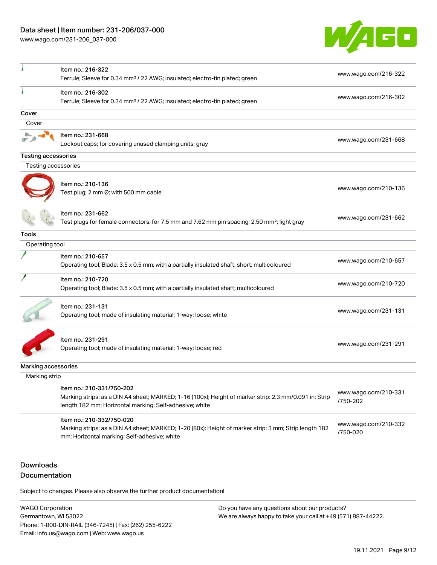[www.wago.com/231-206\\_037-000](http://www.wago.com/231-206_037-000)



| Item no.: 216-302<br>www.wago.com/216-302<br>Ferrule; Sleeve for 0.34 mm <sup>2</sup> / 22 AWG; insulated; electro-tin plated; green<br>Cover<br>Cover<br>Item no.: 231-668<br>www.wago.com/231-668<br>Lockout caps; for covering unused clamping units; gray<br><b>Testing accessories</b><br>Testing accessories<br>Item no.: 210-136<br>www.wago.com/210-136<br>Test plug; 2 mm Ø; with 500 mm cable<br>Item no.: 231-662<br>www.wago.com/231-662<br>Test plugs for female connectors; for 7.5 mm and 7.62 mm pin spacing; 2,50 mm <sup>2</sup> ; light gray<br><b>Tools</b><br>Operating tool<br>Item no.: 210-657<br>www.wago.com/210-657<br>Operating tool; Blade: 3.5 x 0.5 mm; with a partially insulated shaft; short; multicoloured<br>Item no.: 210-720<br>www.wago.com/210-720<br>Operating tool; Blade: 3.5 x 0.5 mm; with a partially insulated shaft; multicoloured<br>Item no.: 231-131<br>www.wago.com/231-131<br>Operating tool; made of insulating material; 1-way; loose; white<br>Item no.: 231-291<br>www.wago.com/231-291<br>Operating tool; made of insulating material; 1-way; loose; red<br>Marking accessories<br>Marking strip<br>Item no.: 210-331/750-202<br>www.wago.com/210-331<br>Marking strips; as a DIN A4 sheet; MARKED; 1-16 (100x); Height of marker strip: 2.3 mm/0.091 in; Strip<br>/750-202<br>length 182 mm; Horizontal marking; Self-adhesive; white<br>Item no.: 210-332/750-020<br>www.wago.com/210-332<br>Marking strips; as a DIN A4 sheet; MARKED; 1-20 (80x); Height of marker strip: 3 mm; Strip length 182<br>/750-020<br>mm; Horizontal marking; Self-adhesive; white | Item no.: 216-322<br>Ferrule; Sleeve for 0.34 mm <sup>2</sup> / 22 AWG; insulated; electro-tin plated; green | www.wago.com/216-322 |
|----------------------------------------------------------------------------------------------------------------------------------------------------------------------------------------------------------------------------------------------------------------------------------------------------------------------------------------------------------------------------------------------------------------------------------------------------------------------------------------------------------------------------------------------------------------------------------------------------------------------------------------------------------------------------------------------------------------------------------------------------------------------------------------------------------------------------------------------------------------------------------------------------------------------------------------------------------------------------------------------------------------------------------------------------------------------------------------------------------------------------------------------------------------------------------------------------------------------------------------------------------------------------------------------------------------------------------------------------------------------------------------------------------------------------------------------------------------------------------------------------------------------------------------------------------------------------------------------------------------------------|--------------------------------------------------------------------------------------------------------------|----------------------|
|                                                                                                                                                                                                                                                                                                                                                                                                                                                                                                                                                                                                                                                                                                                                                                                                                                                                                                                                                                                                                                                                                                                                                                                                                                                                                                                                                                                                                                                                                                                                                                                                                            |                                                                                                              |                      |
|                                                                                                                                                                                                                                                                                                                                                                                                                                                                                                                                                                                                                                                                                                                                                                                                                                                                                                                                                                                                                                                                                                                                                                                                                                                                                                                                                                                                                                                                                                                                                                                                                            |                                                                                                              |                      |
|                                                                                                                                                                                                                                                                                                                                                                                                                                                                                                                                                                                                                                                                                                                                                                                                                                                                                                                                                                                                                                                                                                                                                                                                                                                                                                                                                                                                                                                                                                                                                                                                                            |                                                                                                              |                      |
|                                                                                                                                                                                                                                                                                                                                                                                                                                                                                                                                                                                                                                                                                                                                                                                                                                                                                                                                                                                                                                                                                                                                                                                                                                                                                                                                                                                                                                                                                                                                                                                                                            |                                                                                                              |                      |
|                                                                                                                                                                                                                                                                                                                                                                                                                                                                                                                                                                                                                                                                                                                                                                                                                                                                                                                                                                                                                                                                                                                                                                                                                                                                                                                                                                                                                                                                                                                                                                                                                            |                                                                                                              |                      |
|                                                                                                                                                                                                                                                                                                                                                                                                                                                                                                                                                                                                                                                                                                                                                                                                                                                                                                                                                                                                                                                                                                                                                                                                                                                                                                                                                                                                                                                                                                                                                                                                                            |                                                                                                              |                      |
|                                                                                                                                                                                                                                                                                                                                                                                                                                                                                                                                                                                                                                                                                                                                                                                                                                                                                                                                                                                                                                                                                                                                                                                                                                                                                                                                                                                                                                                                                                                                                                                                                            |                                                                                                              |                      |
|                                                                                                                                                                                                                                                                                                                                                                                                                                                                                                                                                                                                                                                                                                                                                                                                                                                                                                                                                                                                                                                                                                                                                                                                                                                                                                                                                                                                                                                                                                                                                                                                                            |                                                                                                              |                      |
|                                                                                                                                                                                                                                                                                                                                                                                                                                                                                                                                                                                                                                                                                                                                                                                                                                                                                                                                                                                                                                                                                                                                                                                                                                                                                                                                                                                                                                                                                                                                                                                                                            |                                                                                                              |                      |
|                                                                                                                                                                                                                                                                                                                                                                                                                                                                                                                                                                                                                                                                                                                                                                                                                                                                                                                                                                                                                                                                                                                                                                                                                                                                                                                                                                                                                                                                                                                                                                                                                            |                                                                                                              |                      |
|                                                                                                                                                                                                                                                                                                                                                                                                                                                                                                                                                                                                                                                                                                                                                                                                                                                                                                                                                                                                                                                                                                                                                                                                                                                                                                                                                                                                                                                                                                                                                                                                                            |                                                                                                              |                      |
|                                                                                                                                                                                                                                                                                                                                                                                                                                                                                                                                                                                                                                                                                                                                                                                                                                                                                                                                                                                                                                                                                                                                                                                                                                                                                                                                                                                                                                                                                                                                                                                                                            |                                                                                                              |                      |
|                                                                                                                                                                                                                                                                                                                                                                                                                                                                                                                                                                                                                                                                                                                                                                                                                                                                                                                                                                                                                                                                                                                                                                                                                                                                                                                                                                                                                                                                                                                                                                                                                            |                                                                                                              |                      |
|                                                                                                                                                                                                                                                                                                                                                                                                                                                                                                                                                                                                                                                                                                                                                                                                                                                                                                                                                                                                                                                                                                                                                                                                                                                                                                                                                                                                                                                                                                                                                                                                                            |                                                                                                              |                      |
|                                                                                                                                                                                                                                                                                                                                                                                                                                                                                                                                                                                                                                                                                                                                                                                                                                                                                                                                                                                                                                                                                                                                                                                                                                                                                                                                                                                                                                                                                                                                                                                                                            |                                                                                                              |                      |
|                                                                                                                                                                                                                                                                                                                                                                                                                                                                                                                                                                                                                                                                                                                                                                                                                                                                                                                                                                                                                                                                                                                                                                                                                                                                                                                                                                                                                                                                                                                                                                                                                            |                                                                                                              |                      |
|                                                                                                                                                                                                                                                                                                                                                                                                                                                                                                                                                                                                                                                                                                                                                                                                                                                                                                                                                                                                                                                                                                                                                                                                                                                                                                                                                                                                                                                                                                                                                                                                                            |                                                                                                              |                      |
|                                                                                                                                                                                                                                                                                                                                                                                                                                                                                                                                                                                                                                                                                                                                                                                                                                                                                                                                                                                                                                                                                                                                                                                                                                                                                                                                                                                                                                                                                                                                                                                                                            |                                                                                                              |                      |

## Downloads Documentation

Subject to changes. Please also observe the further product documentation!

WAGO Corporation Germantown, WI 53022 Phone: 1-800-DIN-RAIL (346-7245) | Fax: (262) 255-6222 Email: info.us@wago.com | Web: www.wago.us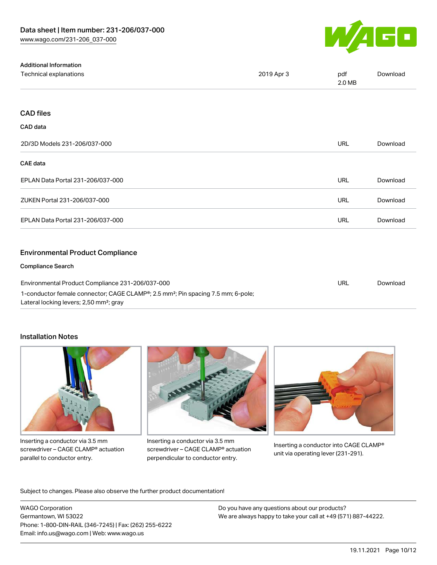Additional Information



| Technical explanations                                                                                                                              | 2019 Apr 3 | pdf<br>2.0 MB | Download |
|-----------------------------------------------------------------------------------------------------------------------------------------------------|------------|---------------|----------|
|                                                                                                                                                     |            |               |          |
| <b>CAD files</b>                                                                                                                                    |            |               |          |
| CAD data                                                                                                                                            |            |               |          |
| 2D/3D Models 231-206/037-000                                                                                                                        |            | <b>URL</b>    | Download |
| <b>CAE</b> data                                                                                                                                     |            |               |          |
| EPLAN Data Portal 231-206/037-000                                                                                                                   |            | <b>URL</b>    | Download |
| ZUKEN Portal 231-206/037-000                                                                                                                        |            | <b>URL</b>    | Download |
| EPLAN Data Portal 231-206/037-000                                                                                                                   |            | URL           | Download |
|                                                                                                                                                     |            |               |          |
| <b>Environmental Product Compliance</b>                                                                                                             |            |               |          |
| <b>Compliance Search</b>                                                                                                                            |            |               |          |
| Environmental Product Compliance 231-206/037-000                                                                                                    |            | <b>URL</b>    | Download |
| 1-conductor female connector; CAGE CLAMP®; 2.5 mm <sup>2</sup> ; Pin spacing 7.5 mm; 6-pole;<br>Lateral locking levers; 2,50 mm <sup>2</sup> ; gray |            |               |          |

#### Installation Notes



Inserting a conductor via 3.5 mm screwdriver – CAGE CLAMP® actuation parallel to conductor entry.



Inserting a conductor via 3.5 mm screwdriver – CAGE CLAMP® actuation perpendicular to conductor entry.



Inserting a conductor into CAGE CLAMP® unit via operating lever (231-291).

Subject to changes. Please also observe the further product documentation!

WAGO Corporation Germantown, WI 53022 Phone: 1-800-DIN-RAIL (346-7245) | Fax: (262) 255-6222 Email: info.us@wago.com | Web: www.wago.us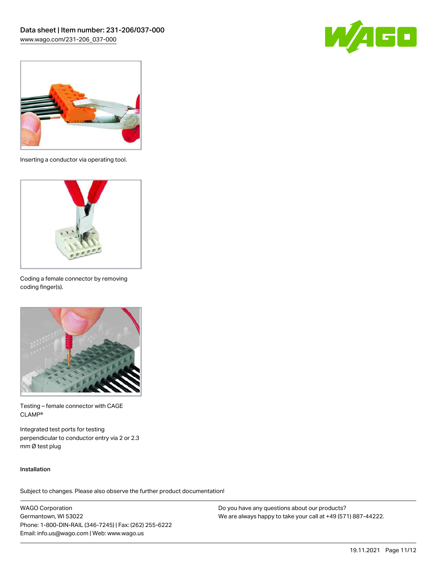



Inserting a conductor via operating tool.



Coding a female connector by removing coding finger(s).



Testing – female connector with CAGE CLAMP®

Integrated test ports for testing perpendicular to conductor entry via 2 or 2.3 mm Ø test plug

#### Installation

Subject to changes. Please also observe the further product documentation!

WAGO Corporation Germantown, WI 53022 Phone: 1-800-DIN-RAIL (346-7245) | Fax: (262) 255-6222 Email: info.us@wago.com | Web: www.wago.us